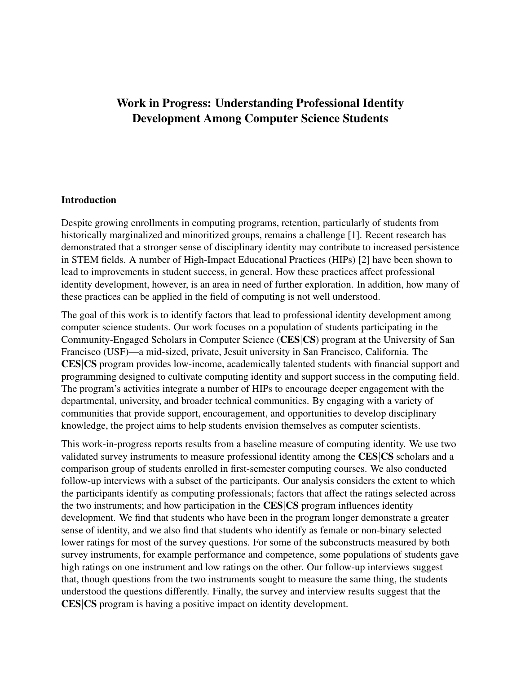# Work in Progress: Understanding Professional Identity Development Among Computer Science Students

### **Introduction**

Despite growing enrollments in computing programs, retention, particularly of students from historically marginalized and minoritized groups, remains a challenge [1]. Recent research has demonstrated that a stronger sense of disciplinary identity may contribute to increased persistence in STEM fields. A number of High-Impact Educational Practices (HIPs) [2] have been shown to lead to improvements in student success, in general. How these practices affect professional identity development, however, is an area in need of further exploration. In addition, how many of these practices can be applied in the field of computing is not well understood.

The goal of this work is to identify factors that lead to professional identity development among computer science students. Our work focuses on a population of students participating in the Community-Engaged Scholars in Computer Science (CES|CS) program at the University of San Francisco (USF)—a mid-sized, private, Jesuit university in San Francisco, California. The CES|CS program provides low-income, academically talented students with financial support and programming designed to cultivate computing identity and support success in the computing field. The program's activities integrate a number of HIPs to encourage deeper engagement with the departmental, university, and broader technical communities. By engaging with a variety of communities that provide support, encouragement, and opportunities to develop disciplinary knowledge, the project aims to help students envision themselves as computer scientists.

This work-in-progress reports results from a baseline measure of computing identity. We use two validated survey instruments to measure professional identity among the CES|CS scholars and a comparison group of students enrolled in first-semester computing courses. We also conducted follow-up interviews with a subset of the participants. Our analysis considers the extent to which the participants identify as computing professionals; factors that affect the ratings selected across the two instruments; and how participation in the CES|CS program influences identity development. We find that students who have been in the program longer demonstrate a greater sense of identity, and we also find that students who identify as female or non-binary selected lower ratings for most of the survey questions. For some of the subconstructs measured by both survey instruments, for example performance and competence, some populations of students gave high ratings on one instrument and low ratings on the other. Our follow-up interviews suggest that, though questions from the two instruments sought to measure the same thing, the students understood the questions differently. Finally, the survey and interview results suggest that the CES|CS program is having a positive impact on identity development.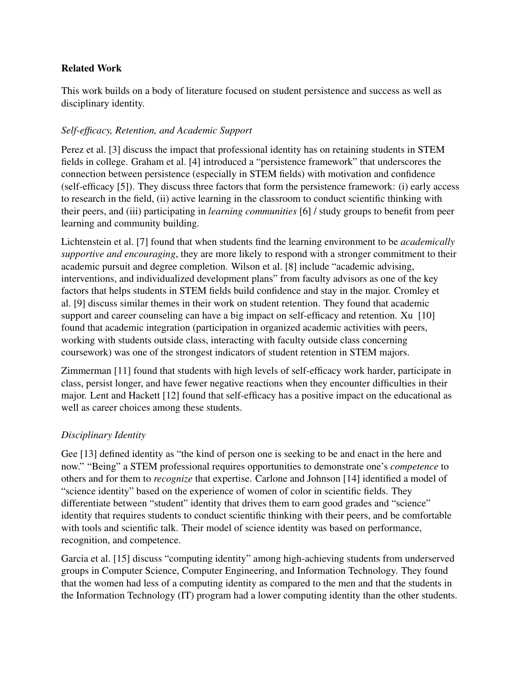# Related Work

This work builds on a body of literature focused on student persistence and success as well as disciplinary identity.

# *Self-efficacy, Retention, and Academic Support*

Perez et al. [3] discuss the impact that professional identity has on retaining students in STEM fields in college. Graham et al. [4] introduced a "persistence framework" that underscores the connection between persistence (especially in STEM fields) with motivation and confidence (self-efficacy [5]). They discuss three factors that form the persistence framework: (i) early access to research in the field, (ii) active learning in the classroom to conduct scientific thinking with their peers, and (iii) participating in *learning communities* [6] / study groups to benefit from peer learning and community building.

Lichtenstein et al. [7] found that when students find the learning environment to be *academically supportive and encouraging*, they are more likely to respond with a stronger commitment to their academic pursuit and degree completion. Wilson et al. [8] include "academic advising, interventions, and individualized development plans" from faculty advisors as one of the key factors that helps students in STEM fields build confidence and stay in the major. Cromley et al. [9] discuss similar themes in their work on student retention. They found that academic support and career counseling can have a big impact on self-efficacy and retention. Xu [10] found that academic integration (participation in organized academic activities with peers, working with students outside class, interacting with faculty outside class concerning coursework) was one of the strongest indicators of student retention in STEM majors.

Zimmerman [11] found that students with high levels of self-efficacy work harder, participate in class, persist longer, and have fewer negative reactions when they encounter difficulties in their major. Lent and Hackett [12] found that self-efficacy has a positive impact on the educational as well as career choices among these students.

# *Disciplinary Identity*

Gee [13] defined identity as "the kind of person one is seeking to be and enact in the here and now." "Being" a STEM professional requires opportunities to demonstrate one's *competence* to others and for them to *recognize* that expertise. Carlone and Johnson [14] identified a model of "science identity" based on the experience of women of color in scientific fields. They differentiate between "student" identity that drives them to earn good grades and "science" identity that requires students to conduct scientific thinking with their peers, and be comfortable with tools and scientific talk. Their model of science identity was based on performance, recognition, and competence.

Garcia et al. [15] discuss "computing identity" among high-achieving students from underserved groups in Computer Science, Computer Engineering, and Information Technology. They found that the women had less of a computing identity as compared to the men and that the students in the Information Technology (IT) program had a lower computing identity than the other students.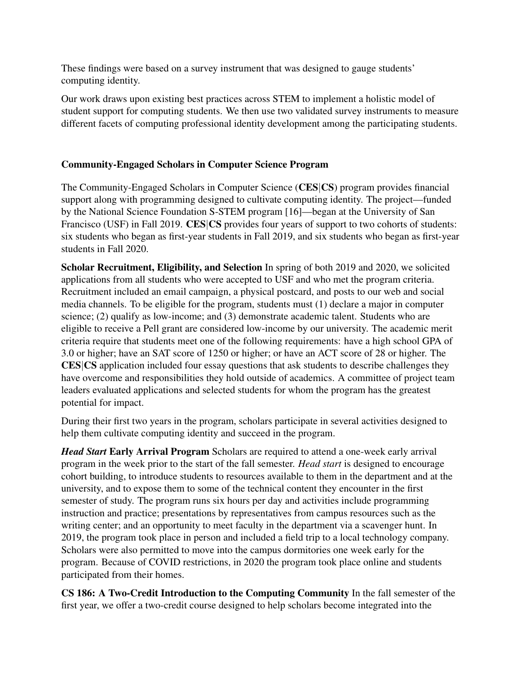These findings were based on a survey instrument that was designed to gauge students' computing identity.

Our work draws upon existing best practices across STEM to implement a holistic model of student support for computing students. We then use two validated survey instruments to measure different facets of computing professional identity development among the participating students.

# Community-Engaged Scholars in Computer Science Program

The Community-Engaged Scholars in Computer Science (CES|CS) program provides financial support along with programming designed to cultivate computing identity. The project—funded by the National Science Foundation S-STEM program [16]—began at the University of San Francisco (USF) in Fall 2019. CES CS provides four years of support to two cohorts of students: six students who began as first-year students in Fall 2019, and six students who began as first-year students in Fall 2020.

Scholar Recruitment, Eligibility, and Selection In spring of both 2019 and 2020, we solicited applications from all students who were accepted to USF and who met the program criteria. Recruitment included an email campaign, a physical postcard, and posts to our web and social media channels. To be eligible for the program, students must (1) declare a major in computer science; (2) qualify as low-income; and (3) demonstrate academic talent. Students who are eligible to receive a Pell grant are considered low-income by our university. The academic merit criteria require that students meet one of the following requirements: have a high school GPA of 3.0 or higher; have an SAT score of 1250 or higher; or have an ACT score of 28 or higher. The CES|CS application included four essay questions that ask students to describe challenges they have overcome and responsibilities they hold outside of academics. A committee of project team leaders evaluated applications and selected students for whom the program has the greatest potential for impact.

During their first two years in the program, scholars participate in several activities designed to help them cultivate computing identity and succeed in the program.

*Head Start* Early Arrival Program Scholars are required to attend a one-week early arrival program in the week prior to the start of the fall semester. *Head start* is designed to encourage cohort building, to introduce students to resources available to them in the department and at the university, and to expose them to some of the technical content they encounter in the first semester of study. The program runs six hours per day and activities include programming instruction and practice; presentations by representatives from campus resources such as the writing center; and an opportunity to meet faculty in the department via a scavenger hunt. In 2019, the program took place in person and included a field trip to a local technology company. Scholars were also permitted to move into the campus dormitories one week early for the program. Because of COVID restrictions, in 2020 the program took place online and students participated from their homes.

CS 186: A Two-Credit Introduction to the Computing Community In the fall semester of the first year, we offer a two-credit course designed to help scholars become integrated into the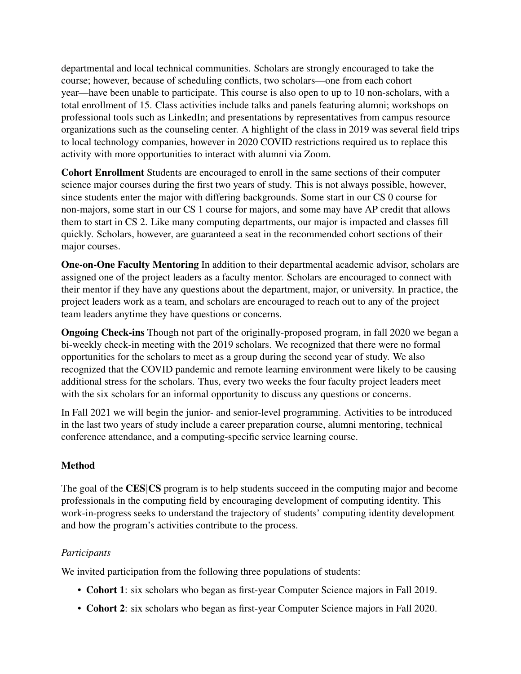departmental and local technical communities. Scholars are strongly encouraged to take the course; however, because of scheduling conflicts, two scholars—one from each cohort year—have been unable to participate. This course is also open to up to 10 non-scholars, with a total enrollment of 15. Class activities include talks and panels featuring alumni; workshops on professional tools such as LinkedIn; and presentations by representatives from campus resource organizations such as the counseling center. A highlight of the class in 2019 was several field trips to local technology companies, however in 2020 COVID restrictions required us to replace this activity with more opportunities to interact with alumni via Zoom.

Cohort Enrollment Students are encouraged to enroll in the same sections of their computer science major courses during the first two years of study. This is not always possible, however, since students enter the major with differing backgrounds. Some start in our CS 0 course for non-majors, some start in our CS 1 course for majors, and some may have AP credit that allows them to start in CS 2. Like many computing departments, our major is impacted and classes fill quickly. Scholars, however, are guaranteed a seat in the recommended cohort sections of their major courses.

One-on-One Faculty Mentoring In addition to their departmental academic advisor, scholars are assigned one of the project leaders as a faculty mentor. Scholars are encouraged to connect with their mentor if they have any questions about the department, major, or university. In practice, the project leaders work as a team, and scholars are encouraged to reach out to any of the project team leaders anytime they have questions or concerns.

Ongoing Check-ins Though not part of the originally-proposed program, in fall 2020 we began a bi-weekly check-in meeting with the 2019 scholars. We recognized that there were no formal opportunities for the scholars to meet as a group during the second year of study. We also recognized that the COVID pandemic and remote learning environment were likely to be causing additional stress for the scholars. Thus, every two weeks the four faculty project leaders meet with the six scholars for an informal opportunity to discuss any questions or concerns.

In Fall 2021 we will begin the junior- and senior-level programming. Activities to be introduced in the last two years of study include a career preparation course, alumni mentoring, technical conference attendance, and a computing-specific service learning course.

# **Method**

The goal of the CES|CS program is to help students succeed in the computing major and become professionals in the computing field by encouraging development of computing identity. This work-in-progress seeks to understand the trajectory of students' computing identity development and how the program's activities contribute to the process.

# *Participants*

We invited participation from the following three populations of students:

- Cohort 1: six scholars who began as first-year Computer Science majors in Fall 2019.
- Cohort 2: six scholars who began as first-year Computer Science majors in Fall 2020.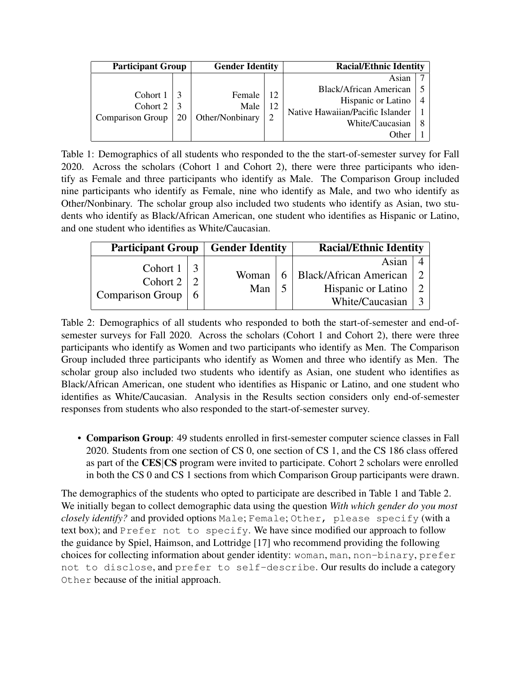| <b>Participant Group</b>                 |  | <b>Gender Identity</b>                  |                            | <b>Racial/Ethnic Identity</b>    |                |
|------------------------------------------|--|-----------------------------------------|----------------------------|----------------------------------|----------------|
|                                          |  |                                         |                            | Asian                            |                |
| Cohort 1<br>Cohort 2<br>Comparison Group |  | Female<br>Male<br>Other/Nonbinary<br>20 | 12<br>12<br>$\overline{2}$ | Black/African American           |                |
|                                          |  |                                         |                            | Hispanic or Latino               | $\overline{4}$ |
|                                          |  |                                         |                            | Native Hawaiian/Pacific Islander |                |
|                                          |  |                                         |                            | White/Caucasian                  |                |
|                                          |  |                                         | Other                      |                                  |                |

Table 1: Demographics of all students who responded to the the start-of-semester survey for Fall 2020. Across the scholars (Cohort 1 and Cohort 2), there were three participants who identify as Female and three participants who identify as Male. The Comparison Group included nine participants who identify as Female, nine who identify as Male, and two who identify as Other/Nonbinary. The scholar group also included two students who identify as Asian, two students who identify as Black/African American, one student who identifies as Hispanic or Latino, and one student who identifies as White/Caucasian.

| <b>Participant Group</b> | <b>Gender Identity</b> |              | <b>Racial/Ethnic Identity</b> |                               |  |
|--------------------------|------------------------|--------------|-------------------------------|-------------------------------|--|
| Cohort 1                 |                        |              |                               | Asian                         |  |
| Cohort $2 \mid$          |                        | Woman<br>Man |                               | <b>Black/African American</b> |  |
|                          |                        |              |                               | Hispanic or Latino            |  |
| <b>Comparison Group</b>  |                        |              |                               | White/Caucasian               |  |

Table 2: Demographics of all students who responded to both the start-of-semester and end-ofsemester surveys for Fall 2020. Across the scholars (Cohort 1 and Cohort 2), there were three participants who identify as Women and two participants who identify as Men. The Comparison Group included three participants who identify as Women and three who identify as Men. The scholar group also included two students who identify as Asian, one student who identifies as Black/African American, one student who identifies as Hispanic or Latino, and one student who identifies as White/Caucasian. Analysis in the Results section considers only end-of-semester responses from students who also responded to the start-of-semester survey.

• Comparison Group: 49 students enrolled in first-semester computer science classes in Fall 2020. Students from one section of CS 0, one section of CS 1, and the CS 186 class offered as part of the CES|CS program were invited to participate. Cohort 2 scholars were enrolled in both the CS 0 and CS 1 sections from which Comparison Group participants were drawn.

The demographics of the students who opted to participate are described in Table 1 and Table 2. We initially began to collect demographic data using the question *With which gender do you most closely identify?* and provided options Male; Female; Other, please specify (with a text box); and Prefer not to specify. We have since modified our approach to follow the guidance by Spiel, Haimson, and Lottridge [17] who recommend providing the following choices for collecting information about gender identity: woman, man, non-binary, prefer not to disclose, and prefer to self-describe. Our results do include a category Other because of the initial approach.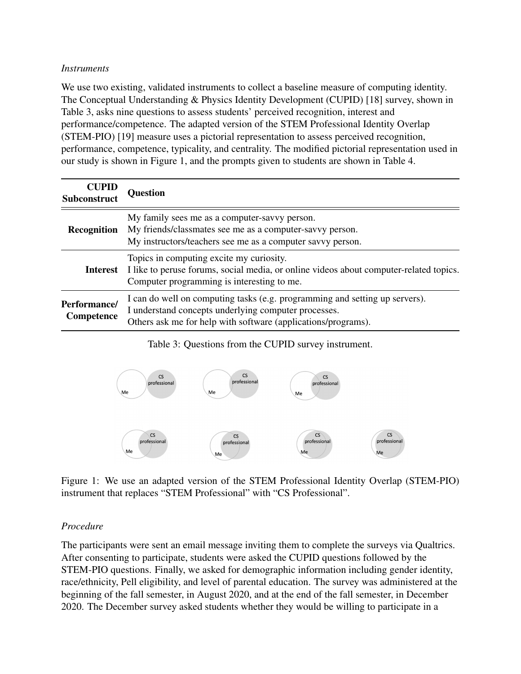### *Instruments*

We use two existing, validated instruments to collect a baseline measure of computing identity. The Conceptual Understanding & Physics Identity Development (CUPID) [18] survey, shown in Table 3, asks nine questions to assess students' perceived recognition, interest and performance/competence. The adapted version of the STEM Professional Identity Overlap (STEM-PIO) [19] measure uses a pictorial representation to assess perceived recognition, performance, competence, typicality, and centrality. The modified pictorial representation used in our study is shown in Figure 1, and the prompts given to students are shown in Table 4.

| <b>CUPID</b><br><b>Subconstruct</b> | <b>Question</b>                                                                                                                                                                                      |
|-------------------------------------|------------------------------------------------------------------------------------------------------------------------------------------------------------------------------------------------------|
| <b>Recognition</b>                  | My family sees me as a computer-savvy person.<br>My friends/classmates see me as a computer-savvy person.<br>My instructors/teachers see me as a computer savvy person.                              |
| Interest                            | Topics in computing excite my curiosity.<br>I like to peruse forums, social media, or online videos about computer-related topics.<br>Computer programming is interesting to me.                     |
| Performance/<br>Competence          | I can do well on computing tasks (e.g. programming and setting up servers).<br>I understand concepts underlying computer processes.<br>Others ask me for help with software (applications/programs). |

Table 3: Questions from the CUPID survey instrument.



Figure 1: We use an adapted version of the STEM Professional Identity Overlap (STEM-PIO) instrument that replaces "STEM Professional" with "CS Professional".

### *Procedure*

The participants were sent an email message inviting them to complete the surveys via Qualtrics. After consenting to participate, students were asked the CUPID questions followed by the STEM-PIO questions. Finally, we asked for demographic information including gender identity, race/ethnicity, Pell eligibility, and level of parental education. The survey was administered at the beginning of the fall semester, in August 2020, and at the end of the fall semester, in December 2020. The December survey asked students whether they would be willing to participate in a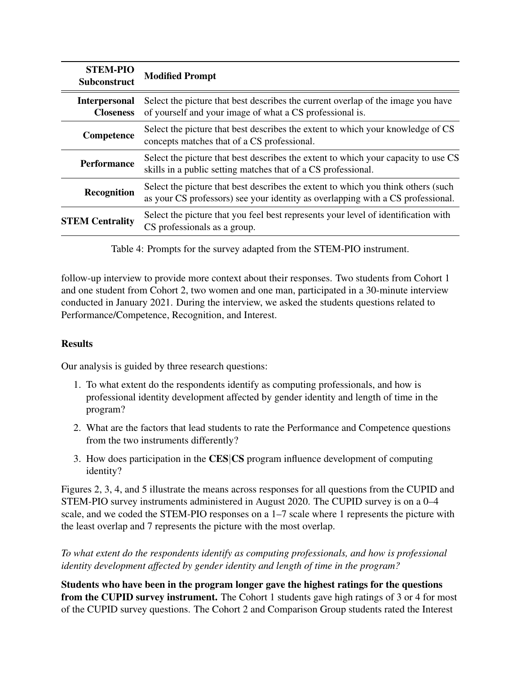| <b>STEM-PIO</b><br><b>Subconstruct</b>   | <b>Modified Prompt</b>                                                                                                                                               |
|------------------------------------------|----------------------------------------------------------------------------------------------------------------------------------------------------------------------|
| <b>Interpersonal</b><br><b>Closeness</b> | Select the picture that best describes the current overlap of the image you have<br>of yourself and your image of what a CS professional is.                         |
| Competence                               | Select the picture that best describes the extent to which your knowledge of CS<br>concepts matches that of a CS professional.                                       |
| <b>Performance</b>                       | Select the picture that best describes the extent to which your capacity to use CS<br>skills in a public setting matches that of a CS professional.                  |
| <b>Recognition</b>                       | Select the picture that best describes the extent to which you think others (such<br>as your CS professors) see your identity as overlapping with a CS professional. |
| <b>STEM Centrality</b>                   | Select the picture that you feel best represents your level of identification with<br>CS professionals as a group.                                                   |

Table 4: Prompts for the survey adapted from the STEM-PIO instrument.

follow-up interview to provide more context about their responses. Two students from Cohort 1 and one student from Cohort 2, two women and one man, participated in a 30-minute interview conducted in January 2021. During the interview, we asked the students questions related to Performance/Competence, Recognition, and Interest.

# **Results**

Our analysis is guided by three research questions:

- 1. To what extent do the respondents identify as computing professionals, and how is professional identity development affected by gender identity and length of time in the program?
- 2. What are the factors that lead students to rate the Performance and Competence questions from the two instruments differently?
- 3. How does participation in the CES|CS program influence development of computing identity?

Figures 2, 3, 4, and 5 illustrate the means across responses for all questions from the CUPID and STEM-PIO survey instruments administered in August 2020. The CUPID survey is on a 0–4 scale, and we coded the STEM-PIO responses on a 1–7 scale where 1 represents the picture with the least overlap and 7 represents the picture with the most overlap.

*To what extent do the respondents identify as computing professionals, and how is professional identity development affected by gender identity and length of time in the program?*

Students who have been in the program longer gave the highest ratings for the questions from the CUPID survey instrument. The Cohort 1 students gave high ratings of 3 or 4 for most of the CUPID survey questions. The Cohort 2 and Comparison Group students rated the Interest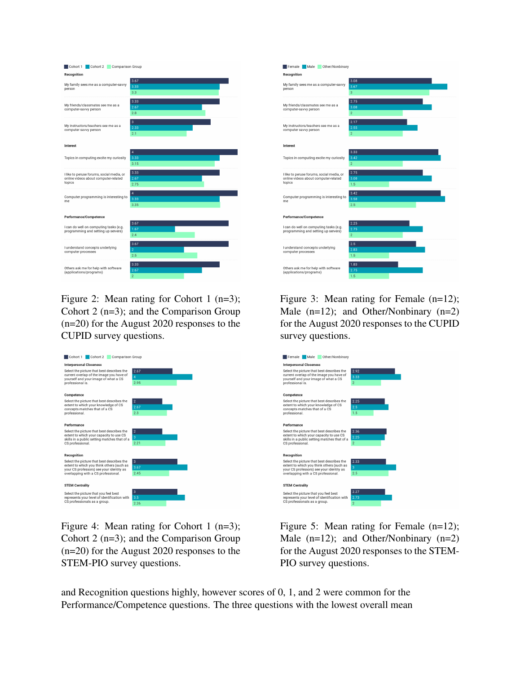

Figure 2: Mean rating for Cohort 1 (n=3); Cohort 2 (n=3); and the Comparison Group (n=20) for the August 2020 responses to the CUPID survey questions.



Figure 4: Mean rating for Cohort 1 (n=3); Cohort 2 (n=3); and the Comparison Group (n=20) for the August 2020 responses to the STEM-PIO survey questions.



Figure 3: Mean rating for Female (n=12); Male (n=12); and Other/Nonbinary (n=2) for the August 2020 responses to the CUPID survey questions.



Figure 5: Mean rating for Female (n=12); Male (n=12); and Other/Nonbinary (n=2) for the August 2020 responses to the STEM-PIO survey questions.

and Recognition questions highly, however scores of 0, 1, and 2 were common for the Performance/Competence questions. The three questions with the lowest overall mean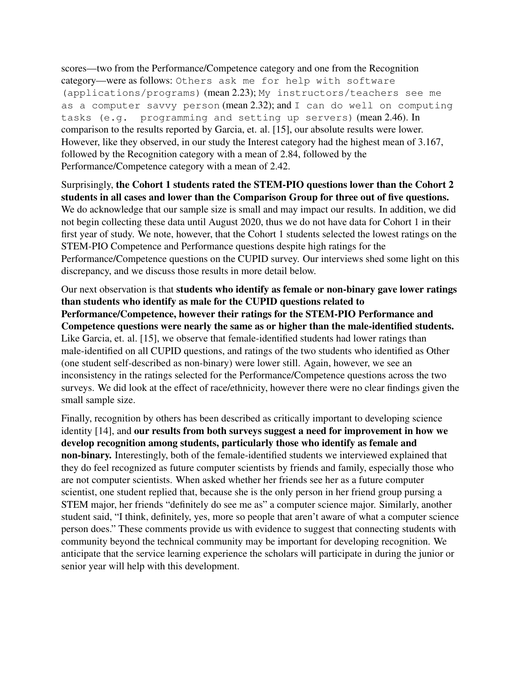scores—two from the Performance/Competence category and one from the Recognition category—were as follows: Others ask me for help with software (applications/programs) (mean 2.23); My instructors/teachers see me as a computer savvy person (mean  $2.32$ ); and I can do well on computing tasks (e.g. programming and setting up servers) (mean 2.46). In comparison to the results reported by Garcia, et. al. [15], our absolute results were lower. However, like they observed, in our study the Interest category had the highest mean of 3.167, followed by the Recognition category with a mean of 2.84, followed by the Performance/Competence category with a mean of 2.42.

Surprisingly, the Cohort 1 students rated the STEM-PIO questions lower than the Cohort 2 students in all cases and lower than the Comparison Group for three out of five questions. We do acknowledge that our sample size is small and may impact our results. In addition, we did not begin collecting these data until August 2020, thus we do not have data for Cohort 1 in their first year of study. We note, however, that the Cohort 1 students selected the lowest ratings on the STEM-PIO Competence and Performance questions despite high ratings for the Performance/Competence questions on the CUPID survey. Our interviews shed some light on this discrepancy, and we discuss those results in more detail below.

Our next observation is that students who identify as female or non-binary gave lower ratings than students who identify as male for the CUPID questions related to Performance/Competence, however their ratings for the STEM-PIO Performance and Competence questions were nearly the same as or higher than the male-identified students. Like Garcia, et. al. [15], we observe that female-identified students had lower ratings than male-identified on all CUPID questions, and ratings of the two students who identified as Other (one student self-described as non-binary) were lower still. Again, however, we see an inconsistency in the ratings selected for the Performance/Competence questions across the two surveys. We did look at the effect of race/ethnicity, however there were no clear findings given the small sample size.

Finally, recognition by others has been described as critically important to developing science identity [14], and our results from both surveys suggest a need for improvement in how we develop recognition among students, particularly those who identify as female and non-binary. Interestingly, both of the female-identified students we interviewed explained that they do feel recognized as future computer scientists by friends and family, especially those who are not computer scientists. When asked whether her friends see her as a future computer scientist, one student replied that, because she is the only person in her friend group pursing a STEM major, her friends "definitely do see me as" a computer science major. Similarly, another student said, "I think, definitely, yes, more so people that aren't aware of what a computer science person does." These comments provide us with evidence to suggest that connecting students with community beyond the technical community may be important for developing recognition. We anticipate that the service learning experience the scholars will participate in during the junior or senior year will help with this development.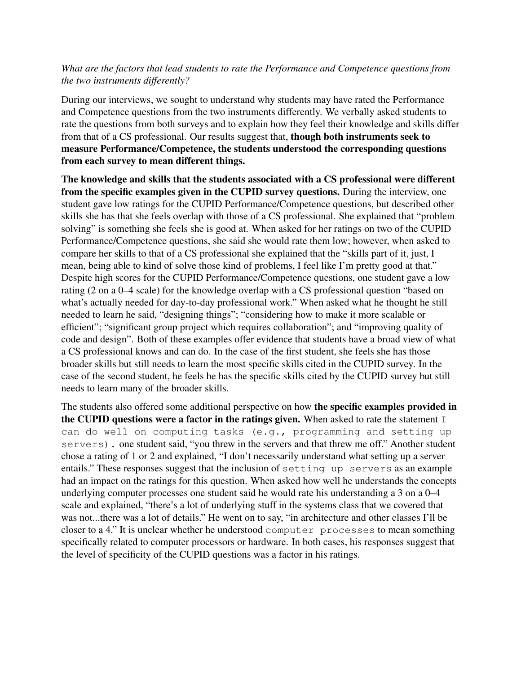## *What are the factors that lead students to rate the Performance and Competence questions from the two instruments differently?*

During our interviews, we sought to understand why students may have rated the Performance and Competence questions from the two instruments differently. We verbally asked students to rate the questions from both surveys and to explain how they feel their knowledge and skills differ from that of a CS professional. Our results suggest that, though both instruments seek to measure Performance/Competence, the students understood the corresponding questions from each survey to mean different things.

The knowledge and skills that the students associated with a CS professional were different from the specific examples given in the CUPID survey questions. During the interview, one student gave low ratings for the CUPID Performance/Competence questions, but described other skills she has that she feels overlap with those of a CS professional. She explained that "problem solving" is something she feels she is good at. When asked for her ratings on two of the CUPID Performance/Competence questions, she said she would rate them low; however, when asked to compare her skills to that of a CS professional she explained that the "skills part of it, just, I mean, being able to kind of solve those kind of problems, I feel like I'm pretty good at that." Despite high scores for the CUPID Performance/Competence questions, one student gave a low rating (2 on a 0–4 scale) for the knowledge overlap with a CS professional question "based on what's actually needed for day-to-day professional work." When asked what he thought he still needed to learn he said, "designing things"; "considering how to make it more scalable or efficient"; "significant group project which requires collaboration"; and "improving quality of code and design". Both of these examples offer evidence that students have a broad view of what a CS professional knows and can do. In the case of the first student, she feels she has those broader skills but still needs to learn the most specific skills cited in the CUPID survey. In the case of the second student, he feels he has the specific skills cited by the CUPID survey but still needs to learn many of the broader skills.

The students also offered some additional perspective on how the specific examples provided in the CUPID questions were a factor in the ratings given. When asked to rate the statement  $I$ can do well on computing tasks (e.g., programming and setting up servers). one student said, "you threw in the servers and that threw me off." Another student chose a rating of 1 or 2 and explained, "I don't necessarily understand what setting up a server entails." These responses suggest that the inclusion of setting up servers as an example had an impact on the ratings for this question. When asked how well he understands the concepts underlying computer processes one student said he would rate his understanding a 3 on a 0–4 scale and explained, "there's a lot of underlying stuff in the systems class that we covered that was not...there was a lot of details." He went on to say, "in architecture and other classes I'll be closer to a 4." It is unclear whether he understood computer processes to mean something specifically related to computer processors or hardware. In both cases, his responses suggest that the level of specificity of the CUPID questions was a factor in his ratings.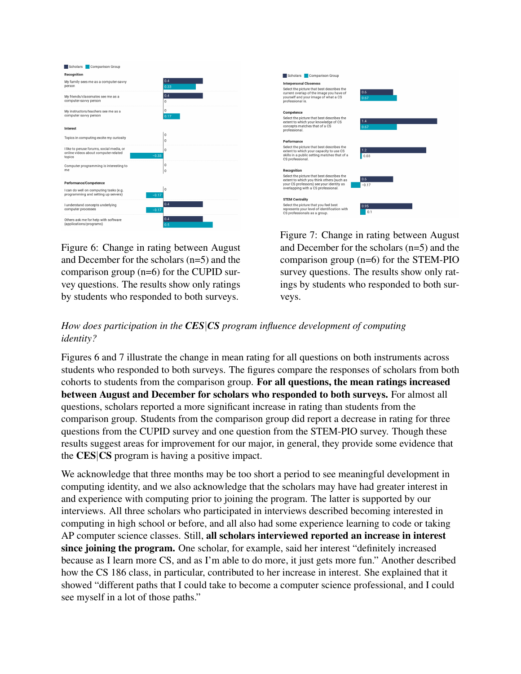| Scholars  <br>Comparison Group                                                    |         |                         |  |
|-----------------------------------------------------------------------------------|---------|-------------------------|--|
| Recognition                                                                       |         |                         |  |
| My family sees me as a computer-savvy                                             |         | 0.4                     |  |
| person                                                                            |         | 0.33                    |  |
| My friends/classmates see me as a                                                 |         | 0.4                     |  |
| computer-savvy person                                                             |         | $\theta$                |  |
| My instructors/teachers see me as a                                               |         | $\mathbf{0}$            |  |
| computer savvy person                                                             |         | 0.17                    |  |
|                                                                                   |         |                         |  |
| Interest                                                                          |         |                         |  |
| Topics in computing excite my curiosity                                           |         | $\mathbf 0$<br>$\theta$ |  |
|                                                                                   |         |                         |  |
| I like to peruse forums, social media, or<br>online videos about computer-related |         | $\theta$                |  |
| topics                                                                            | $-0.33$ |                         |  |
| Computer programming is interesting to                                            |         | $\bf{0}$                |  |
| me                                                                                |         | $\mathbf{0}$            |  |
| Performance/Competence                                                            |         |                         |  |
|                                                                                   |         | $\mathbf{0}$            |  |
| I can do well on computing tasks (e.g.<br>programming and setting up servers)     | $-0.17$ |                         |  |
|                                                                                   |         | 0.4                     |  |
| I understand concepts underlying<br>computer processes                            | $-0.17$ |                         |  |
|                                                                                   |         |                         |  |
| Others ask me for help with software<br>(applications/programs)                   |         | 0.4                     |  |
|                                                                                   |         | 0.5                     |  |

Figure 6: Change in rating between August and December for the scholars (n=5) and the comparison group (n=6) for the CUPID survey questions. The results show only ratings by students who responded to both surveys.



Figure 7: Change in rating between August and December for the scholars (n=5) and the comparison group (n=6) for the STEM-PIO survey questions. The results show only ratings by students who responded to both surveys.

# *How does participation in the CES*|*CS program influence development of computing identity?*

Figures 6 and 7 illustrate the change in mean rating for all questions on both instruments across students who responded to both surveys. The figures compare the responses of scholars from both cohorts to students from the comparison group. For all questions, the mean ratings increased between August and December for scholars who responded to both surveys. For almost all questions, scholars reported a more significant increase in rating than students from the comparison group. Students from the comparison group did report a decrease in rating for three questions from the CUPID survey and one question from the STEM-PIO survey. Though these results suggest areas for improvement for our major, in general, they provide some evidence that the CES|CS program is having a positive impact.

We acknowledge that three months may be too short a period to see meaningful development in computing identity, and we also acknowledge that the scholars may have had greater interest in and experience with computing prior to joining the program. The latter is supported by our interviews. All three scholars who participated in interviews described becoming interested in computing in high school or before, and all also had some experience learning to code or taking AP computer science classes. Still, all scholars interviewed reported an increase in interest since joining the program. One scholar, for example, said her interest "definitely increased because as I learn more CS, and as I'm able to do more, it just gets more fun." Another described how the CS 186 class, in particular, contributed to her increase in interest. She explained that it showed "different paths that I could take to become a computer science professional, and I could see myself in a lot of those paths."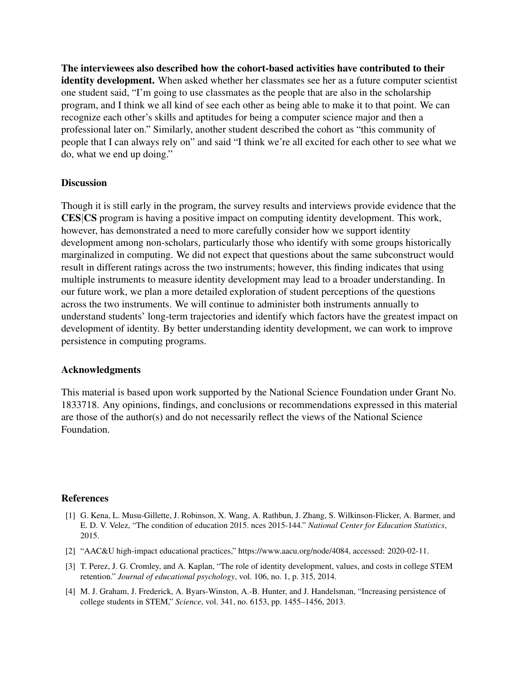The interviewees also described how the cohort-based activities have contributed to their identity development. When asked whether her classmates see her as a future computer scientist one student said, "I'm going to use classmates as the people that are also in the scholarship program, and I think we all kind of see each other as being able to make it to that point. We can recognize each other's skills and aptitudes for being a computer science major and then a professional later on." Similarly, another student described the cohort as "this community of people that I can always rely on" and said "I think we're all excited for each other to see what we do, what we end up doing."

#### **Discussion**

Though it is still early in the program, the survey results and interviews provide evidence that the CES|CS program is having a positive impact on computing identity development. This work, however, has demonstrated a need to more carefully consider how we support identity development among non-scholars, particularly those who identify with some groups historically marginalized in computing. We did not expect that questions about the same subconstruct would result in different ratings across the two instruments; however, this finding indicates that using multiple instruments to measure identity development may lead to a broader understanding. In our future work, we plan a more detailed exploration of student perceptions of the questions across the two instruments. We will continue to administer both instruments annually to understand students' long-term trajectories and identify which factors have the greatest impact on development of identity. By better understanding identity development, we can work to improve persistence in computing programs.

#### Acknowledgments

This material is based upon work supported by the National Science Foundation under Grant No. 1833718. Any opinions, findings, and conclusions or recommendations expressed in this material are those of the author(s) and do not necessarily reflect the views of the National Science Foundation.

#### **References**

- [1] G. Kena, L. Musu-Gillette, J. Robinson, X. Wang, A. Rathbun, J. Zhang, S. Wilkinson-Flicker, A. Barmer, and E. D. V. Velez, "The condition of education 2015. nces 2015-144." *National Center for Education Statistics*, 2015.
- [2] "AAC&U high-impact educational practices," https://www.aacu.org/node/4084, accessed: 2020-02-11.
- [3] T. Perez, J. G. Cromley, and A. Kaplan, "The role of identity development, values, and costs in college STEM retention." *Journal of educational psychology*, vol. 106, no. 1, p. 315, 2014.
- [4] M. J. Graham, J. Frederick, A. Byars-Winston, A.-B. Hunter, and J. Handelsman, "Increasing persistence of college students in STEM," *Science*, vol. 341, no. 6153, pp. 1455–1456, 2013.